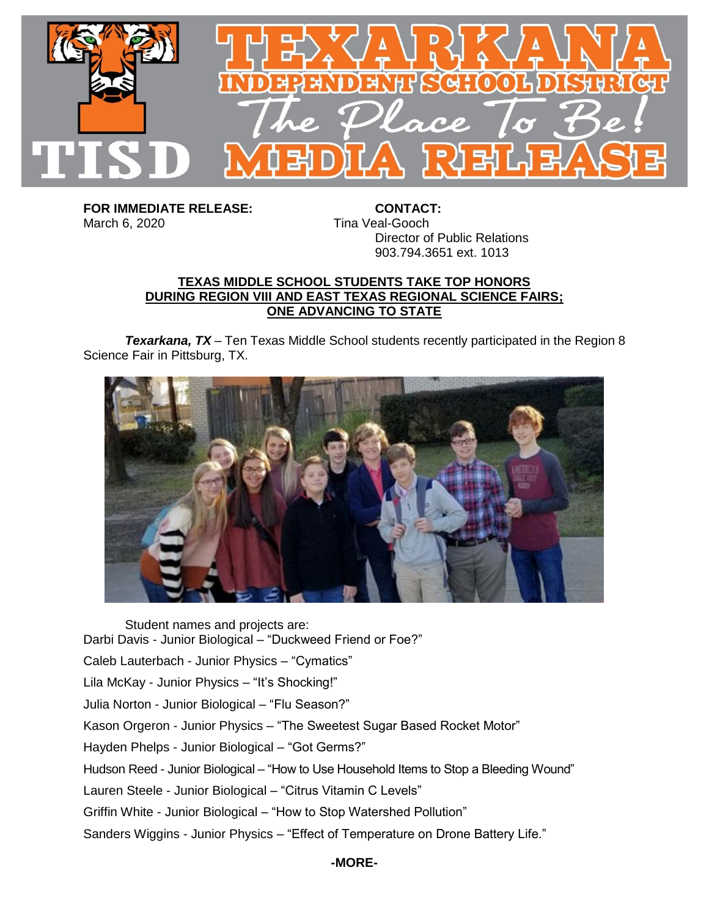

**FOR IMMEDIATE RELEASE: CONTACT:** March 6, 2020 **Tina Veal-Gooch** 

Director of Public Relations 903.794.3651 ext. 1013

## **TEXAS MIDDLE SCHOOL STUDENTS TAKE TOP HONORS DURING REGION VIII AND EAST TEXAS REGIONAL SCIENCE FAIRS; ONE ADVANCING TO STATE**

*Texarkana, TX* – Ten Texas Middle School students recently participated in the Region 8 Science Fair in Pittsburg, TX.



Student names and projects are: Darbi Davis - Junior Biological – "Duckweed Friend or Foe?" Caleb Lauterbach - Junior Physics – "Cymatics" Lila McKay - Junior Physics – "It's Shocking!" Julia Norton - Junior Biological – "Flu Season?" Kason Orgeron - Junior Physics – "The Sweetest Sugar Based Rocket Motor" Hayden Phelps - Junior Biological – "Got Germs?" Hudson Reed - Junior Biological – "How to Use Household Items to Stop a Bleeding Wound" Lauren Steele - Junior Biological – "Citrus Vitamin C Levels" Griffin White - Junior Biological – "How to Stop Watershed Pollution" Sanders Wiggins - Junior Physics – "Effect of Temperature on Drone Battery Life."

## **-MORE-**